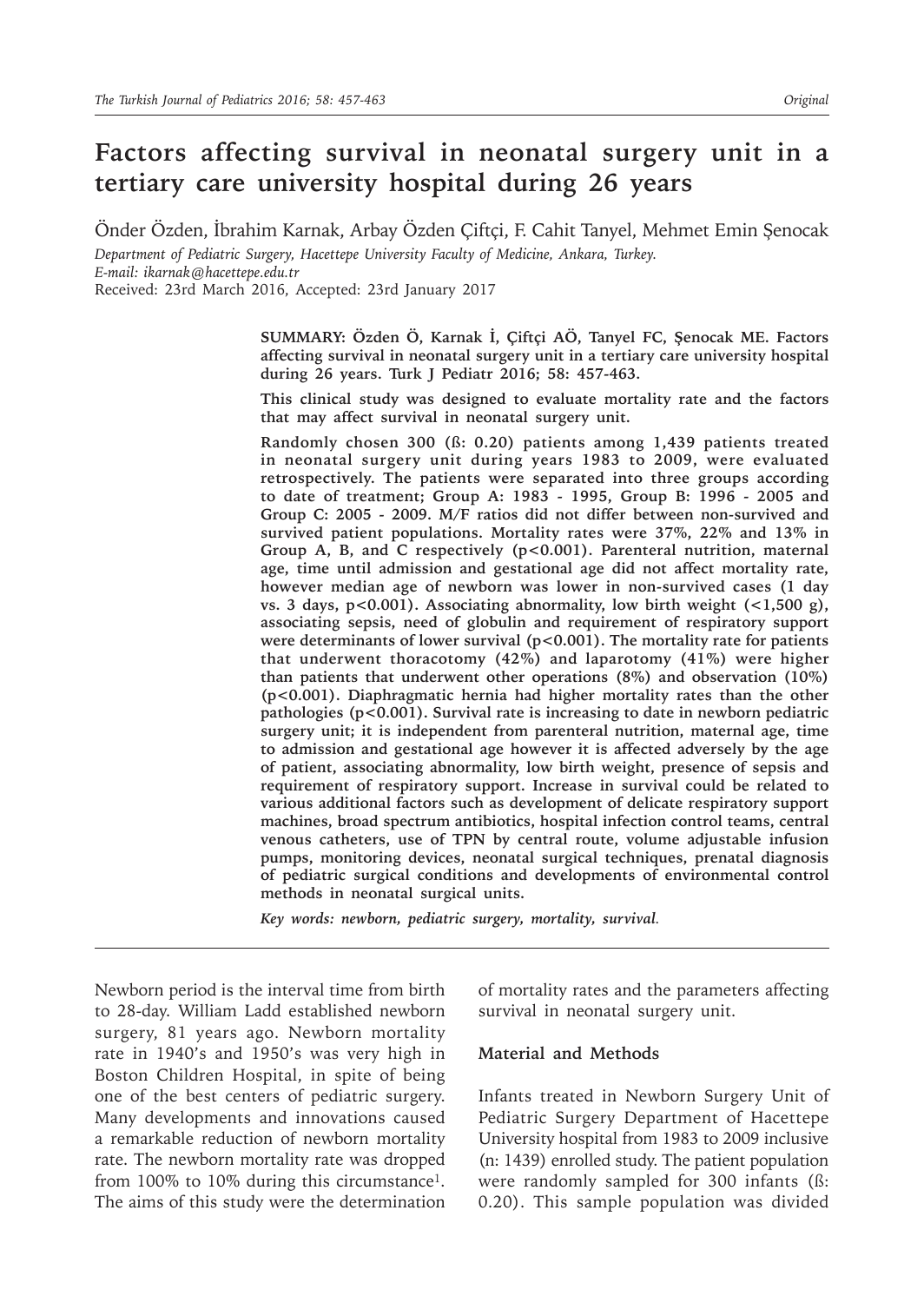# **Factors affecting survival in neonatal surgery unit in a tertiary care university hospital during 26 years**

Önder Özden, İbrahim Karnak, Arbay Özden Çiftçi, F. Cahit Tanyel, Mehmet Emin Şenocak *Department of Pediatric Surgery, Hacettepe University Faculty of Medicine, Ankara, Turkey.* 

*E-mail: ikarnak@hacettepe.edu.tr*

Received: 23rd March 2016, Accepted: 23rd January 2017

**SUMMARY: Özden Ö, Karnak İ, Çiftçi AÖ, Tanyel FC, Şenocak ME. Factors affecting survival in neonatal surgery unit in a tertiary care university hospital during 26 years. Turk J Pediatr 2016; 58: 457-463.**

**This clinical study was designed to evaluate mortality rate and the factors that may affect survival in neonatal surgery unit.** 

**Randomly chosen 300 (ß: 0.20) patients among 1,439 patients treated in neonatal surgery unit during years 1983 to 2009, were evaluated retrospectively. The patients were separated into three groups according to date of treatment; Group A: 1983 - 1995, Group B: 1996 - 2005 and Group C: 2005 - 2009. M/F ratios did not differ between non-survived and survived patient populations. Mortality rates were 37%, 22% and 13% in Group A, B, and C respectively (p<0.001). Parenteral nutrition, maternal age, time until admission and gestational age did not affect mortality rate, however median age of newborn was lower in non-survived cases (1 day vs. 3 days, p<0.001). Associating abnormality, low birth weight (<1,500 g), associating sepsis, need of globulin and requirement of respiratory support were determinants of lower survival (p<0.001). The mortality rate for patients that underwent thoracotomy (42%) and laparotomy (41%) were higher than patients that underwent other operations (8%) and observation (10%) (p<0.001). Diaphragmatic hernia had higher mortality rates than the other pathologies (p<0.001). Survival rate is increasing to date in newborn pediatric surgery unit; it is independent from parenteral nutrition, maternal age, time to admission and gestational age however it is affected adversely by the age of patient, associating abnormality, low birth weight, presence of sepsis and requirement of respiratory support. Increase in survival could be related to various additional factors such as development of delicate respiratory support machines, broad spectrum antibiotics, hospital infection control teams, central venous catheters, use of TPN by central route, volume adjustable infusion pumps, monitoring devices, neonatal surgical techniques, prenatal diagnosis of pediatric surgical conditions and developments of environmental control methods in neonatal surgical units.**

*Key words: newborn, pediatric surgery, mortality, survival.*

Newborn period is the interval time from birth to 28-day. William Ladd established newborn surgery, 81 years ago. Newborn mortality rate in 1940's and 1950's was very high in Boston Children Hospital, in spite of being one of the best centers of pediatric surgery. Many developments and innovations caused a remarkable reduction of newborn mortality rate. The newborn mortality rate was dropped from  $100\%$  to  $10\%$  during this circumstance<sup>1</sup>. The aims of this study were the determination

of mortality rates and the parameters affecting survival in neonatal surgery unit.

#### **Material and Methods**

Infants treated in Newborn Surgery Unit of Pediatric Surgery Department of Hacettepe University hospital from 1983 to 2009 inclusive (n: 1439) enrolled study. The patient population were randomly sampled for 300 infants (ß: 0.20). This sample population was divided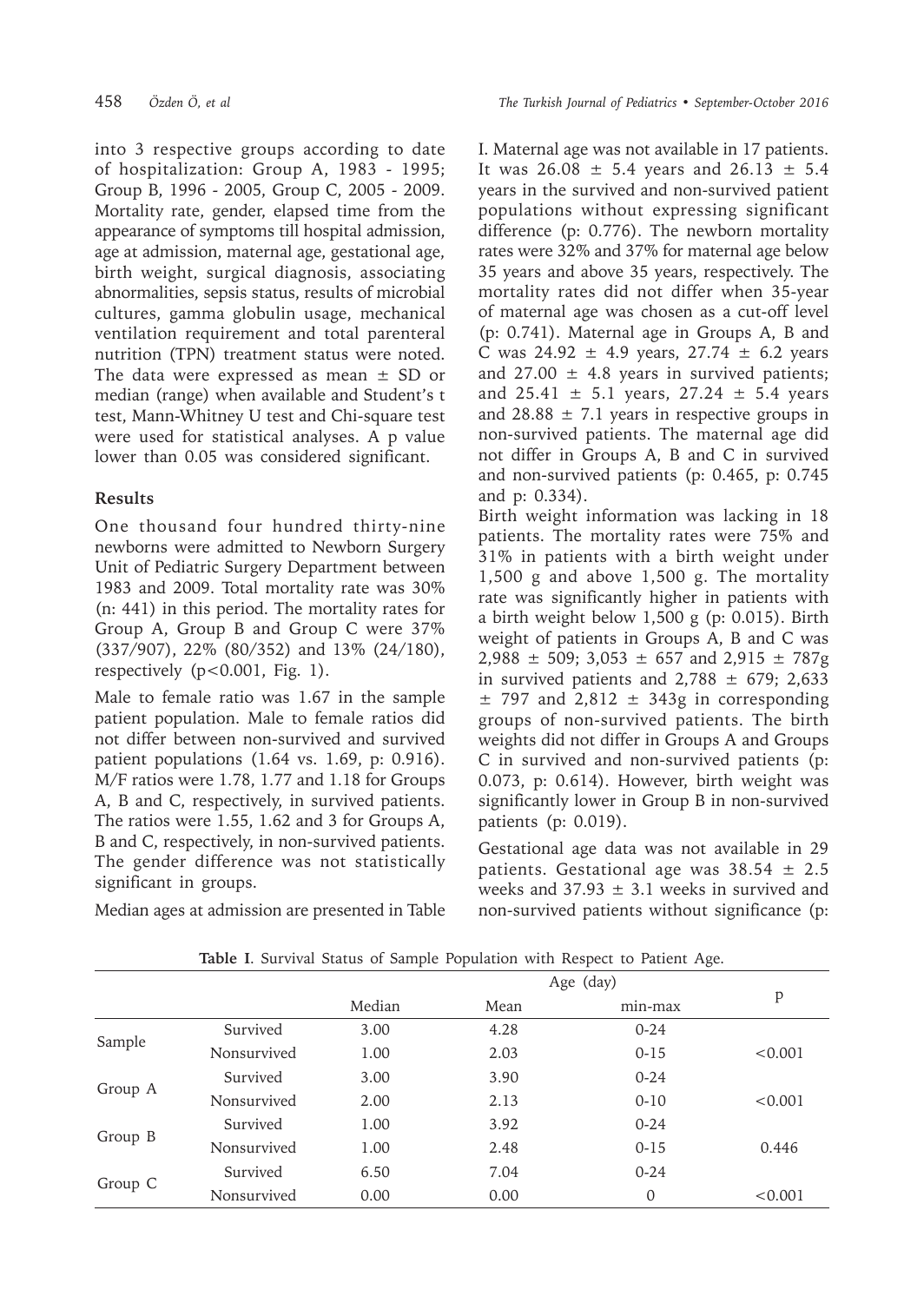into 3 respective groups according to date of hospitalization: Group A, 1983 - 1995; Group B, 1996 - 2005, Group C, 2005 - 2009. Mortality rate, gender, elapsed time from the appearance of symptoms till hospital admission, age at admission, maternal age, gestational age, birth weight, surgical diagnosis, associating abnormalities, sepsis status, results of microbial cultures, gamma globulin usage, mechanical ventilation requirement and total parenteral nutrition (TPN) treatment status were noted. The data were expressed as mean  $\pm$  SD or median (range) when available and Student's t test, Mann-Whitney U test and Chi-square test were used for statistical analyses. A p value lower than 0.05 was considered significant.

## **Results**

One thousand four hundred thirty-nine newborns were admitted to Newborn Surgery Unit of Pediatric Surgery Department between 1983 and 2009. Total mortality rate was 30% (n: 441) in this period. The mortality rates for Group A, Group B and Group C were 37% (337/907), 22% (80/352) and 13% (24/180), respectively  $(p<0.001, Fig. 1)$ .

Male to female ratio was 1.67 in the sample patient population. Male to female ratios did not differ between non-survived and survived patient populations (1.64 vs. 1.69, p: 0.916). M/F ratios were 1.78, 1.77 and 1.18 for Groups A, B and C, respectively, in survived patients. The ratios were 1.55, 1.62 and 3 for Groups A, B and C, respectively, in non-survived patients. The gender difference was not statistically significant in groups.

Median ages at admission are presented in Table

I. Maternal age was not available in 17 patients. It was  $26.08 \pm 5.4$  years and  $26.13 \pm 5.4$ years in the survived and non-survived patient populations without expressing significant difference (p: 0.776). The newborn mortality rates were 32% and 37% for maternal age below 35 years and above 35 years, respectively. The mortality rates did not differ when 35-year of maternal age was chosen as a cut-off level (p: 0.741). Maternal age in Groups A, B and C was  $24.92 \pm 4.9$  years,  $27.74 \pm 6.2$  years and  $27.00 \pm 4.8$  years in survived patients; and  $25.41 \pm 5.1$  years,  $27.24 \pm 5.4$  years and  $28.88 \pm 7.1$  years in respective groups in non-survived patients. The maternal age did not differ in Groups A, B and C in survived and non-survived patients (p: 0.465, p: 0.745 and p: 0.334).

Birth weight information was lacking in 18 patients. The mortality rates were 75% and 31% in patients with a birth weight under 1,500 g and above 1,500 g. The mortality rate was significantly higher in patients with a birth weight below 1,500 g (p: 0.015). Birth weight of patients in Groups A, B and C was  $2,988 \pm 509$ ;  $3,053 \pm 657$  and  $2,915 \pm 787$ g in survived patients and  $2,788 \pm 679$ ; 2,633  $\pm$  797 and 2,812  $\pm$  343g in corresponding groups of non-survived patients. The birth weights did not differ in Groups A and Groups C in survived and non-survived patients (p: 0.073, p: 0.614). However, birth weight was significantly lower in Group B in non-survived patients (p: 0.019).

Gestational age data was not available in 29 patients. Gestational age was  $38.54 \pm 2.5$ weeks and  $37.93 \pm 3.1$  weeks in survived and non-survived patients without significance (p:

|         |             |        | Age (day) |          |         |  |
|---------|-------------|--------|-----------|----------|---------|--|
|         |             | Median | Mean      | min-max  | p       |  |
| Sample  | Survived    | 3.00   | 4.28      | $0 - 24$ |         |  |
|         | Nonsurvived | 1.00   | 2.03      | $0 - 15$ | < 0.001 |  |
| Group A | Survived    | 3.00   | 3.90      | $0 - 24$ |         |  |
|         | Nonsurvived | 2.00   | 2.13      | $0 - 10$ | < 0.001 |  |
| Group B | Survived    | 1.00   | 3.92      | $0 - 24$ |         |  |
|         | Nonsurvived | 1.00   | 2.48      | $0 - 15$ | 0.446   |  |
| Group C | Survived    | 6.50   | 7.04      | $0 - 24$ |         |  |
|         | Nonsurvived | 0.00   | 0.00      | 0        | < 0.001 |  |

**Table I**. Survival Status of Sample Population with Respect to Patient Age.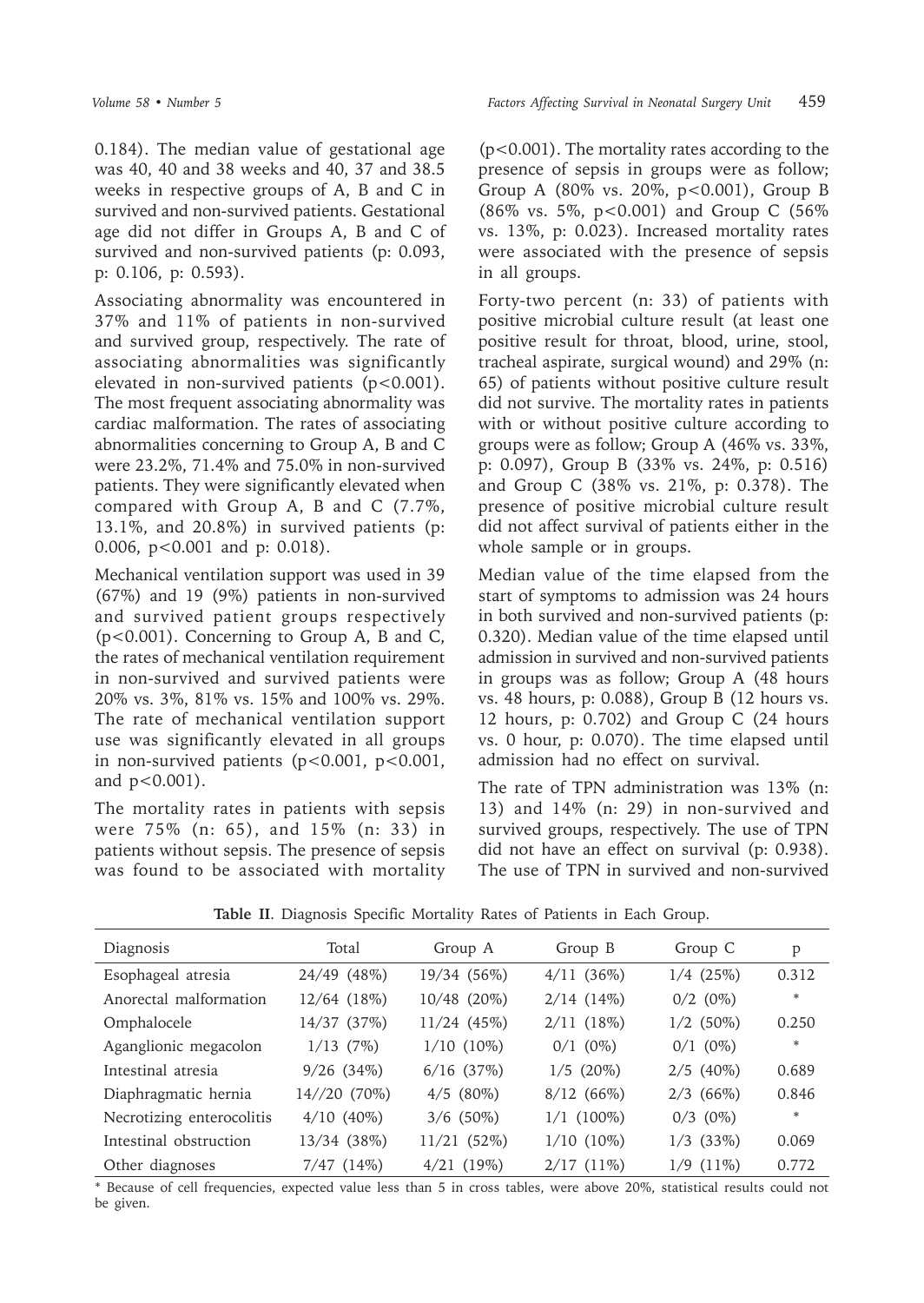0.184). The median value of gestational age was 40, 40 and 38 weeks and 40, 37 and 38.5 weeks in respective groups of A, B and C in survived and non-survived patients. Gestational age did not differ in Groups A, B and C of survived and non-survived patients (p: 0.093, p: 0.106, p: 0.593).

Associating abnormality was encountered in 37% and 11% of patients in non-survived and survived group, respectively. The rate of associating abnormalities was significantly elevated in non-survived patients (p<0.001). The most frequent associating abnormality was cardiac malformation. The rates of associating abnormalities concerning to Group A, B and C were 23.2%, 71.4% and 75.0% in non-survived patients. They were significantly elevated when compared with Group A, B and C (7.7%, 13.1%, and 20.8%) in survived patients (p: 0.006, p<0.001 and p: 0.018).

Mechanical ventilation support was used in 39 (67%) and 19 (9%) patients in non-survived and survived patient groups respectively (p<0.001). Concerning to Group A, B and C, the rates of mechanical ventilation requirement in non-survived and survived patients were 20% vs. 3%, 81% vs. 15% and 100% vs. 29%. The rate of mechanical ventilation support use was significantly elevated in all groups in non-survived patients (p<0.001, p<0.001, and p<0.001).

The mortality rates in patients with sepsis were 75% (n: 65), and 15% (n: 33) in patients without sepsis. The presence of sepsis was found to be associated with mortality

(p<0.001). The mortality rates according to the presence of sepsis in groups were as follow; Group A (80% vs. 20%, p<0.001), Group B (86% vs. 5%, p<0.001) and Group C (56% vs. 13%, p: 0.023). Increased mortality rates were associated with the presence of sepsis in all groups.

Forty-two percent (n: 33) of patients with positive microbial culture result (at least one positive result for throat, blood, urine, stool, tracheal aspirate, surgical wound) and 29% (n: 65) of patients without positive culture result did not survive. The mortality rates in patients with or without positive culture according to groups were as follow; Group A (46% vs. 33%, p: 0.097), Group B (33% vs. 24%, p: 0.516) and Group C (38% vs. 21%, p: 0.378). The presence of positive microbial culture result did not affect survival of patients either in the whole sample or in groups.

Median value of the time elapsed from the start of symptoms to admission was 24 hours in both survived and non-survived patients (p: 0.320). Median value of the time elapsed until admission in survived and non-survived patients in groups was as follow; Group A (48 hours vs. 48 hours, p: 0.088), Group B (12 hours vs. 12 hours, p: 0.702) and Group C (24 hours vs. 0 hour, p: 0.070). The time elapsed until admission had no effect on survival.

The rate of TPN administration was 13% (n: 13) and 14% (n: 29) in non-survived and survived groups, respectively. The use of TPN did not have an effect on survival (p: 0.938). The use of TPN in survived and non-survived

| Diagnosis                 | Total           | Group A        | Group B       | Group C        | p     |
|---------------------------|-----------------|----------------|---------------|----------------|-------|
| Esophageal atresia        | 24/49 (48%)     | 19/34 (56%)    | 4/11(36%)     | $1/4$ (25%)    | 0.312 |
| Anorectal malformation    | 12/64 (18%)     | 10/48 (20%)    | $2/14$ (14%)  | $0/2$ $(0\%)$  | *     |
| Omphalocele               | 14/37 (37%)     | $11/24$ (45%)  | $2/11(18\%)$  | $1/2$ (50%)    | 0.250 |
| Aganglionic megacolon     | $1/13$ (7%)     | $1/10$ (10%)   | $0/1$ $(0\%)$ | $0/1$ $(0\%)$  | *     |
| Intestinal atresia        | $9/26$ $(34%)$  | $6/16$ $(37%)$ | $1/5$ (20%)   | $2/5$ (40%)    | 0.689 |
| Diaphragmatic hernia      | 14//20 (70%)    | $4/5$ (80%)    | 8/12(66%)     | $2/3$ (66%)    | 0.846 |
| Necrotizing enterocolitis | $4/10(40\%)$    | $3/6$ (50%)    | $1/1$ (100%)  | $0/3$ $(0\%)$  | *     |
| Intestinal obstruction    | 13/34 (38%)     | 11/21 (52%)    | $1/10$ (10%)  | $1/3$ (33%)    | 0.069 |
| Other diagnoses           | $7/47$ $(14\%)$ | $4/21$ (19%)   | $2/17(11\%)$  | $1/9$ $(11\%)$ | 0.772 |

**Table II**. Diagnosis Specific Mortality Rates of Patients in Each Group.

\* Because of cell frequencies, expected value less than 5 in cross tables, were above 20%, statistical results could not be given.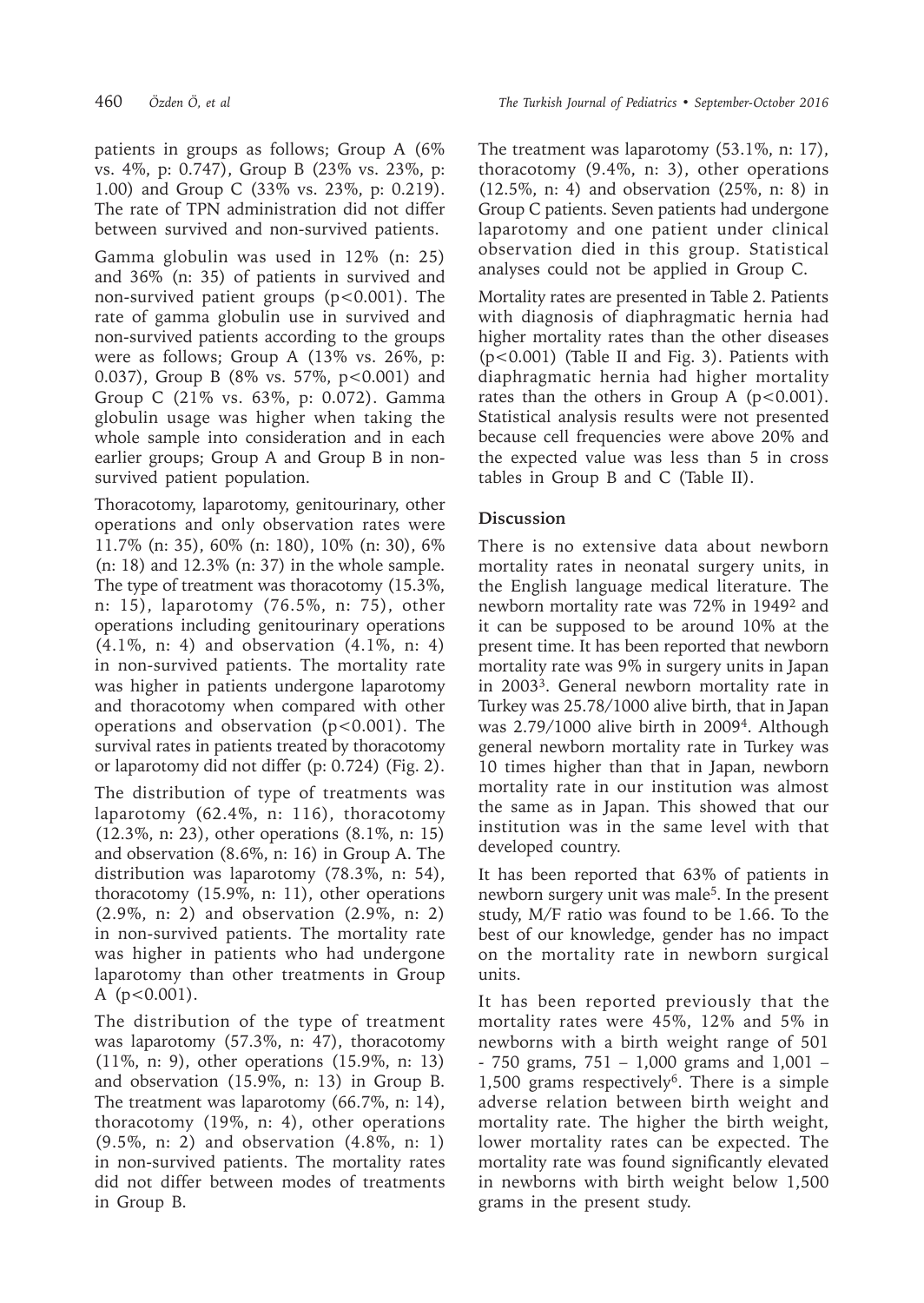patients in groups as follows; Group A (6% vs. 4%, p: 0.747), Group B (23% vs. 23%, p: 1.00) and Group C (33% vs. 23%, p: 0.219). The rate of TPN administration did not differ between survived and non-survived patients.

Gamma globulin was used in 12% (n: 25) and 36% (n: 35) of patients in survived and non-survived patient groups (p<0.001). The rate of gamma globulin use in survived and non-survived patients according to the groups were as follows; Group A (13% vs. 26%, p: 0.037), Group B (8% vs. 57%, p<0.001) and Group C (21% vs. 63%, p: 0.072). Gamma globulin usage was higher when taking the whole sample into consideration and in each earlier groups; Group A and Group B in nonsurvived patient population.

Thoracotomy, laparotomy, genitourinary, other operations and only observation rates were 11.7% (n: 35), 60% (n: 180), 10% (n: 30), 6% (n: 18) and 12.3% (n: 37) in the whole sample. The type of treatment was thoracotomy (15.3%, n: 15), laparotomy (76.5%, n: 75), other operations including genitourinary operations (4.1%, n: 4) and observation (4.1%, n: 4) in non-survived patients. The mortality rate was higher in patients undergone laparotomy and thoracotomy when compared with other operations and observation (p<0.001). The survival rates in patients treated by thoracotomy or laparotomy did not differ (p: 0.724) (Fig. 2).

The distribution of type of treatments was laparotomy (62.4%, n: 116), thoracotomy (12.3%, n: 23), other operations (8.1%, n: 15) and observation (8.6%, n: 16) in Group A. The distribution was laparotomy (78.3%, n: 54), thoracotomy (15.9%, n: 11), other operations (2.9%, n: 2) and observation (2.9%, n: 2) in non-survived patients. The mortality rate was higher in patients who had undergone laparotomy than other treatments in Group A (p<0.001).

The distribution of the type of treatment was laparotomy (57.3%, n: 47), thoracotomy (11%, n: 9), other operations (15.9%, n: 13) and observation (15.9%, n: 13) in Group B. The treatment was laparotomy (66.7%, n: 14), thoracotomy (19%, n: 4), other operations (9.5%, n: 2) and observation (4.8%, n: 1) in non-survived patients. The mortality rates did not differ between modes of treatments in Group B.

The treatment was laparotomy (53.1%, n: 17), thoracotomy (9.4%, n: 3), other operations (12.5%, n: 4) and observation (25%, n: 8) in Group C patients. Seven patients had undergone laparotomy and one patient under clinical observation died in this group. Statistical analyses could not be applied in Group C.

Mortality rates are presented in Table 2. Patients with diagnosis of diaphragmatic hernia had higher mortality rates than the other diseases (p<0.001) (Table II and Fig. 3). Patients with diaphragmatic hernia had higher mortality rates than the others in Group A  $(p<0.001)$ . Statistical analysis results were not presented because cell frequencies were above 20% and the expected value was less than 5 in cross tables in Group B and C (Table II).

## **Discussion**

There is no extensive data about newborn mortality rates in neonatal surgery units, in the English language medical literature. The newborn mortality rate was 72% in 19492 and it can be supposed to be around 10% at the present time. It has been reported that newborn mortality rate was 9% in surgery units in Japan in 20033. General newborn mortality rate in Turkey was 25.78/1000 alive birth, that in Japan was 2.79/1000 alive birth in 20094. Although general newborn mortality rate in Turkey was 10 times higher than that in Japan, newborn mortality rate in our institution was almost the same as in Japan. This showed that our institution was in the same level with that developed country.

It has been reported that 63% of patients in newborn surgery unit was male5. In the present study, M/F ratio was found to be 1.66. To the best of our knowledge, gender has no impact on the mortality rate in newborn surgical units.

It has been reported previously that the mortality rates were 45%, 12% and 5% in newborns with a birth weight range of 501 - 750 grams, 751 – 1,000 grams and 1,001 – 1,500 grams respectively<sup>6</sup>. There is a simple adverse relation between birth weight and mortality rate. The higher the birth weight, lower mortality rates can be expected. The mortality rate was found significantly elevated in newborns with birth weight below 1,500 grams in the present study.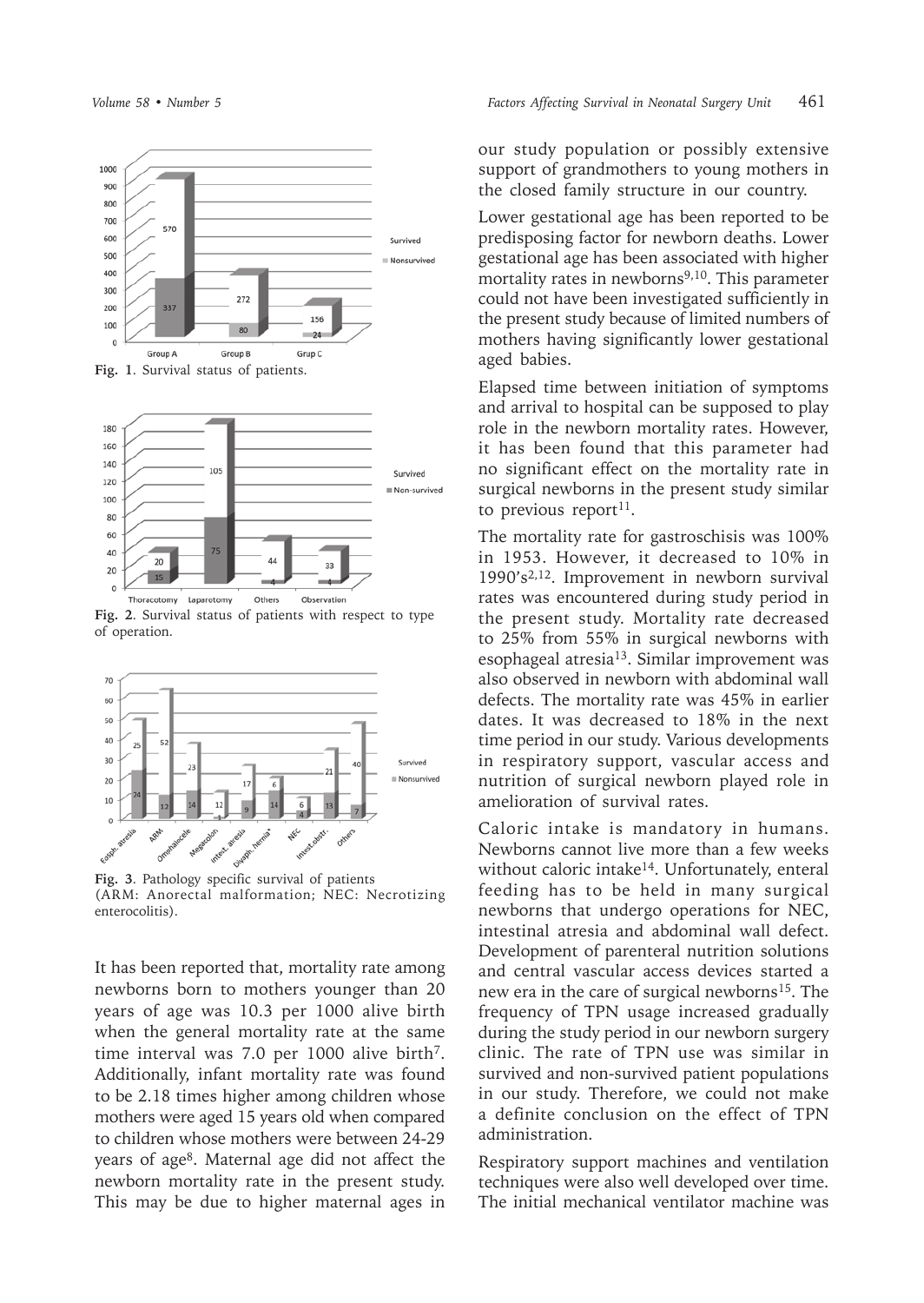



**Fig. 2**. Survival status of patients with respect to type of operation.



**Fig. 3**. Pathology specific survival of patients (ARM: Anorectal malformation; NEC: Necrotizing enterocolitis).

It has been reported that, mortality rate among newborns born to mothers younger than 20 years of age was 10.3 per 1000 alive birth when the general mortality rate at the same time interval was 7.0 per 1000 alive birth<sup>7</sup>. Additionally, infant mortality rate was found to be 2.18 times higher among children whose mothers were aged 15 years old when compared to children whose mothers were between 24-29 years of age8. Maternal age did not affect the newborn mortality rate in the present study. This may be due to higher maternal ages in our study population or possibly extensive support of grandmothers to young mothers in the closed family structure in our country.

Lower gestational age has been reported to be predisposing factor for newborn deaths. Lower gestational age has been associated with higher mortality rates in newborns<sup>9,10</sup>. This parameter could not have been investigated sufficiently in the present study because of limited numbers of mothers having significantly lower gestational aged babies.

Elapsed time between initiation of symptoms and arrival to hospital can be supposed to play role in the newborn mortality rates. However, it has been found that this parameter had no significant effect on the mortality rate in surgical newborns in the present study similar to previous report<sup>11</sup>.

The mortality rate for gastroschisis was 100% in 1953. However, it decreased to 10% in 1990's2,12. Improvement in newborn survival rates was encountered during study period in the present study. Mortality rate decreased to 25% from 55% in surgical newborns with esophageal atresia<sup>13</sup>. Similar improvement was also observed in newborn with abdominal wall defects. The mortality rate was 45% in earlier dates. It was decreased to 18% in the next time period in our study. Various developments in respiratory support, vascular access and nutrition of surgical newborn played role in amelioration of survival rates.

Caloric intake is mandatory in humans. Newborns cannot live more than a few weeks without caloric intake<sup>14</sup>. Unfortunately, enteral feeding has to be held in many surgical newborns that undergo operations for NEC, intestinal atresia and abdominal wall defect. Development of parenteral nutrition solutions and central vascular access devices started a new era in the care of surgical newborns<sup>15</sup>. The frequency of TPN usage increased gradually during the study period in our newborn surgery clinic. The rate of TPN use was similar in survived and non-survived patient populations in our study. Therefore, we could not make a definite conclusion on the effect of TPN administration.

Respiratory support machines and ventilation techniques were also well developed over time. The initial mechanical ventilator machine was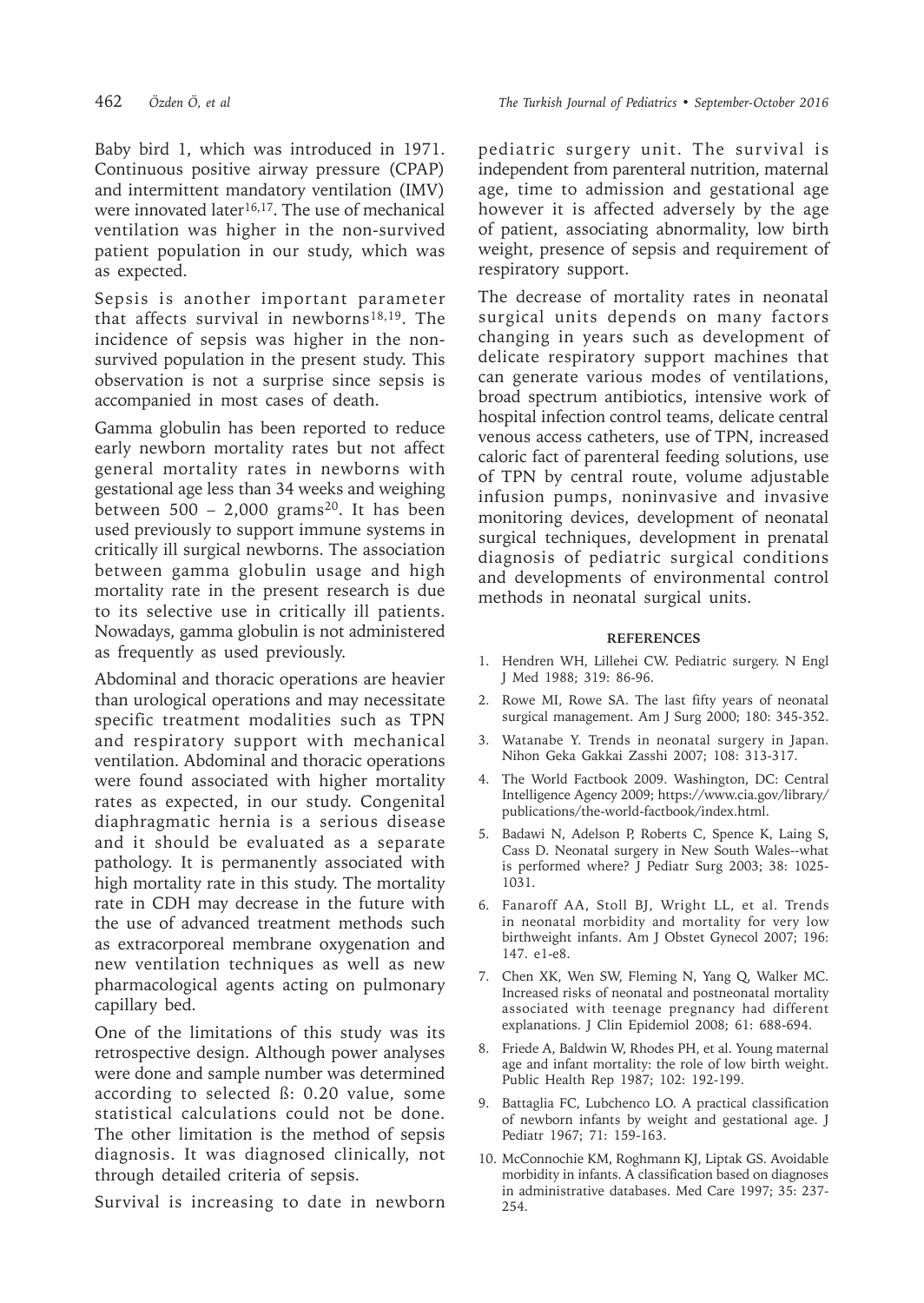Baby bird 1, which was introduced in 1971. Continuous positive airway pressure (CPAP) and intermittent mandatory ventilation (IMV) were innovated later<sup>16,17</sup>. The use of mechanical ventilation was higher in the non-survived patient population in our study, which was as expected.

Sepsis is another important parameter that affects survival in newborns18,19. The incidence of sepsis was higher in the nonsurvived population in the present study. This observation is not a surprise since sepsis is accompanied in most cases of death.

Gamma globulin has been reported to reduce early newborn mortality rates but not affect general mortality rates in newborns with gestational age less than 34 weeks and weighing between  $500 - 2,000$  grams<sup>20</sup>. It has been used previously to support immune systems in critically ill surgical newborns. The association between gamma globulin usage and high mortality rate in the present research is due to its selective use in critically ill patients. Nowadays, gamma globulin is not administered as frequently as used previously.

Abdominal and thoracic operations are heavier than urological operations and may necessitate specific treatment modalities such as TPN and respiratory support with mechanical ventilation. Abdominal and thoracic operations were found associated with higher mortality rates as expected, in our study. Congenital diaphragmatic hernia is a serious disease and it should be evaluated as a separate pathology. It is permanently associated with high mortality rate in this study. The mortality rate in CDH may decrease in the future with the use of advanced treatment methods such as extracorporeal membrane oxygenation and new ventilation techniques as well as new pharmacological agents acting on pulmonary capillary bed.

One of the limitations of this study was its retrospective design. Although power analyses were done and sample number was determined according to selected ß: 0.20 value, some statistical calculations could not be done. The other limitation is the method of sepsis diagnosis. It was diagnosed clinically, not through detailed criteria of sepsis.

Survival is increasing to date in newborn

pediatric surgery unit. The survival is independent from parenteral nutrition, maternal age, time to admission and gestational age however it is affected adversely by the age of patient, associating abnormality, low birth weight, presence of sepsis and requirement of respiratory support.

The decrease of mortality rates in neonatal surgical units depends on many factors changing in years such as development of delicate respiratory support machines that can generate various modes of ventilations, broad spectrum antibiotics, intensive work of hospital infection control teams, delicate central venous access catheters, use of TPN, increased caloric fact of parenteral feeding solutions, use of TPN by central route, volume adjustable infusion pumps, noninvasive and invasive monitoring devices, development of neonatal surgical techniques, development in prenatal diagnosis of pediatric surgical conditions and developments of environmental control methods in neonatal surgical units.

#### **REFERENCES**

- 1. Hendren WH, Lillehei CW. Pediatric surgery. N Engl J Med 1988; 319: 86-96.
- 2. Rowe MI, Rowe SA. The last fifty years of neonatal surgical management. Am J Surg 2000; 180: 345-352.
- 3. Watanabe Y. Trends in neonatal surgery in Japan. Nihon Geka Gakkai Zasshi 2007; 108: 313-317.
- 4. The World Factbook 2009. Washington, DC: Central Intelligence Agency 2009; https://www.cia.gov/library/ publications/the-world-factbook/index.html.
- 5. Badawi N, Adelson P, Roberts C, Spence K, Laing S, Cass D. Neonatal surgery in New South Wales--what is performed where? J Pediatr Surg 2003; 38: 1025- 1031.
- 6. Fanaroff AA, Stoll BJ, Wright LL, et al. Trends in neonatal morbidity and mortality for very low birthweight infants. Am J Obstet Gynecol 2007; 196: 147. e1-e8.
- 7. Chen XK, Wen SW, Fleming N, Yang Q, Walker MC. Increased risks of neonatal and postneonatal mortality associated with teenage pregnancy had different explanations. J Clin Epidemiol 2008; 61: 688-694.
- 8. Friede A, Baldwin W, Rhodes PH, et al. Young maternal age and infant mortality: the role of low birth weight. Public Health Rep 1987; 102: 192-199.
- 9. Battaglia FC, Lubchenco LO. A practical classification of newborn infants by weight and gestational age. J Pediatr 1967; 71: 159-163.
- 10. McConnochie KM, Roghmann KJ, Liptak GS. Avoidable morbidity in infants. A classification based on diagnoses in administrative databases. Med Care 1997; 35: 237- 254.